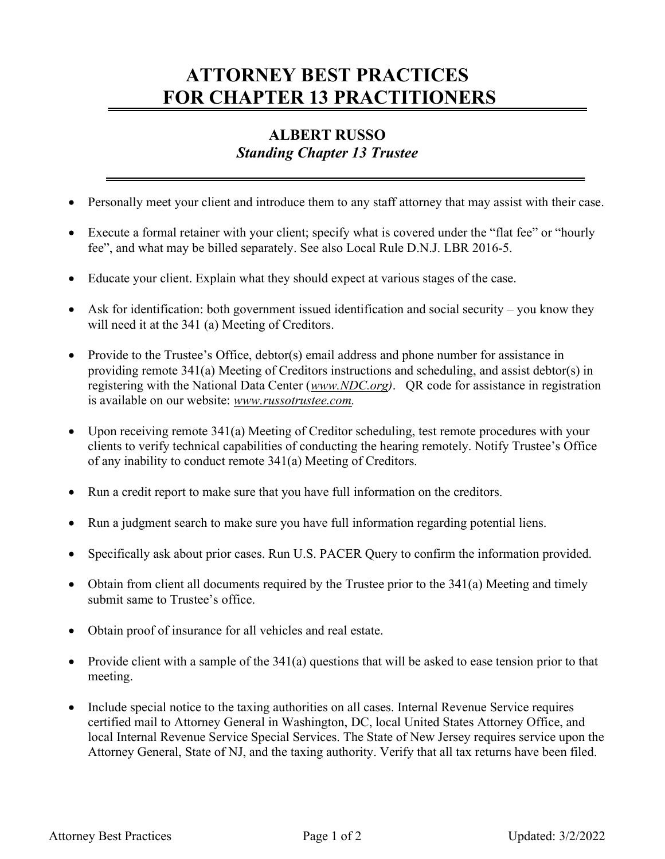## ATTORNEY BEST PRACTICES FOR CHAPTER 13 PRACTITIONERS

## ALBERT RUSSO Standing Chapter 13 Trustee

- Personally meet your client and introduce them to any staff attorney that may assist with their case.
- Execute a formal retainer with your client; specify what is covered under the "flat fee" or "hourly fee", and what may be billed separately. See also Local Rule D.N.J. LBR 2016-5.
- Educate your client. Explain what they should expect at various stages of the case.
- Ask for identification: both government issued identification and social security you know they will need it at the 341 (a) Meeting of Creditors.
- Provide to the Trustee's Office, debtor(s) email address and phone number for assistance in providing remote 341(a) Meeting of Creditors instructions and scheduling, and assist debtor(s) in registering with the National Data Center (www.NDC.org). QR code for assistance in registration is available on our website: www.russotrustee.com.
- Upon receiving remote 341(a) Meeting of Creditor scheduling, test remote procedures with your clients to verify technical capabilities of conducting the hearing remotely. Notify Trustee's Office of any inability to conduct remote 341(a) Meeting of Creditors.
- Run a credit report to make sure that you have full information on the creditors.
- Run a judgment search to make sure you have full information regarding potential liens.
- Specifically ask about prior cases. Run U.S. PACER Query to confirm the information provided.
- Obtain from client all documents required by the Trustee prior to the 341(a) Meeting and timely submit same to Trustee's office.
- Obtain proof of insurance for all vehicles and real estate.
- Provide client with a sample of the  $341(a)$  questions that will be asked to ease tension prior to that meeting.
- Include special notice to the taxing authorities on all cases. Internal Revenue Service requires certified mail to Attorney General in Washington, DC, local United States Attorney Office, and local Internal Revenue Service Special Services. The State of New Jersey requires service upon the Attorney General, State of NJ, and the taxing authority. Verify that all tax returns have been filed.